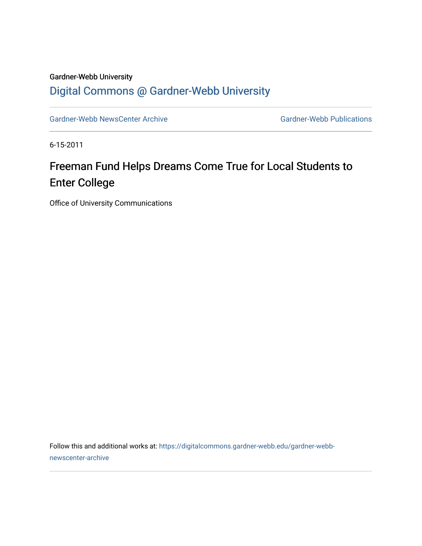### Gardner-Webb University [Digital Commons @ Gardner-Webb University](https://digitalcommons.gardner-webb.edu/)

[Gardner-Webb NewsCenter Archive](https://digitalcommons.gardner-webb.edu/gardner-webb-newscenter-archive) Gardner-Webb Publications

6-15-2011

# Freeman Fund Helps Dreams Come True for Local Students to Enter College

Office of University Communications

Follow this and additional works at: [https://digitalcommons.gardner-webb.edu/gardner-webb](https://digitalcommons.gardner-webb.edu/gardner-webb-newscenter-archive?utm_source=digitalcommons.gardner-webb.edu%2Fgardner-webb-newscenter-archive%2F2066&utm_medium=PDF&utm_campaign=PDFCoverPages)[newscenter-archive](https://digitalcommons.gardner-webb.edu/gardner-webb-newscenter-archive?utm_source=digitalcommons.gardner-webb.edu%2Fgardner-webb-newscenter-archive%2F2066&utm_medium=PDF&utm_campaign=PDFCoverPages)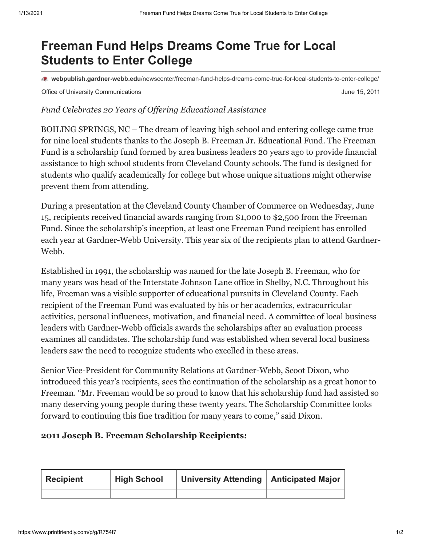## **Freeman Fund Helps Dreams Come True for Local Students to Enter College**

**webpublish.gardner-webb.edu**[/newscenter/freeman-fund-helps-dreams-come-true-for-local-students-to-enter-college/](https://webpublish.gardner-webb.edu/newscenter/freeman-fund-helps-dreams-come-true-for-local-students-to-enter-college/)

Office of University Communications **Communications Communications June 15, 2011** 

#### *Fund Celebrates 20 Years of Offering Educational Assistance*

BOILING SPRINGS, NC – The dream of leaving high school and entering college came true for nine local students thanks to the Joseph B. Freeman Jr. Educational Fund. The Freeman Fund is a scholarship fund formed by area business leaders 20 years ago to provide financial assistance to high school students from Cleveland County schools. The fund is designed for students who qualify academically for college but whose unique situations might otherwise prevent them from attending.

During a presentation at the Cleveland County Chamber of Commerce on Wednesday, June 15, recipients received financial awards ranging from \$1,000 to \$2,500 from the Freeman Fund. Since the scholarship's inception, at least one Freeman Fund recipient has enrolled each year at Gardner-Webb University. This year six of the recipients plan to attend Gardner-Webb.

Established in 1991, the scholarship was named for the late Joseph B. Freeman, who for many years was head of the Interstate Johnson Lane office in Shelby, N.C. Throughout his life, Freeman was a visible supporter of educational pursuits in Cleveland County. Each recipient of the Freeman Fund was evaluated by his or her academics, extracurricular activities, personal influences, motivation, and financial need. A committee of local business leaders with Gardner-Webb officials awards the scholarships after an evaluation process examines all candidates. The scholarship fund was established when several local business leaders saw the need to recognize students who excelled in these areas.

Senior Vice-President for Community Relations at Gardner-Webb, Scoot Dixon, who introduced this year's recipients, sees the continuation of the scholarship as a great honor to Freeman. "Mr. Freeman would be so proud to know that his scholarship fund had assisted so many deserving young people during these twenty years. The Scholarship Committee looks forward to continuing this fine tradition for many years to come," said Dixon.

#### **2011 Joseph B. Freeman Scholarship Recipients:**

| <b>Recipient</b> | <b>High School</b> | University Attending   Anticipated Major |  |
|------------------|--------------------|------------------------------------------|--|
|                  |                    |                                          |  |